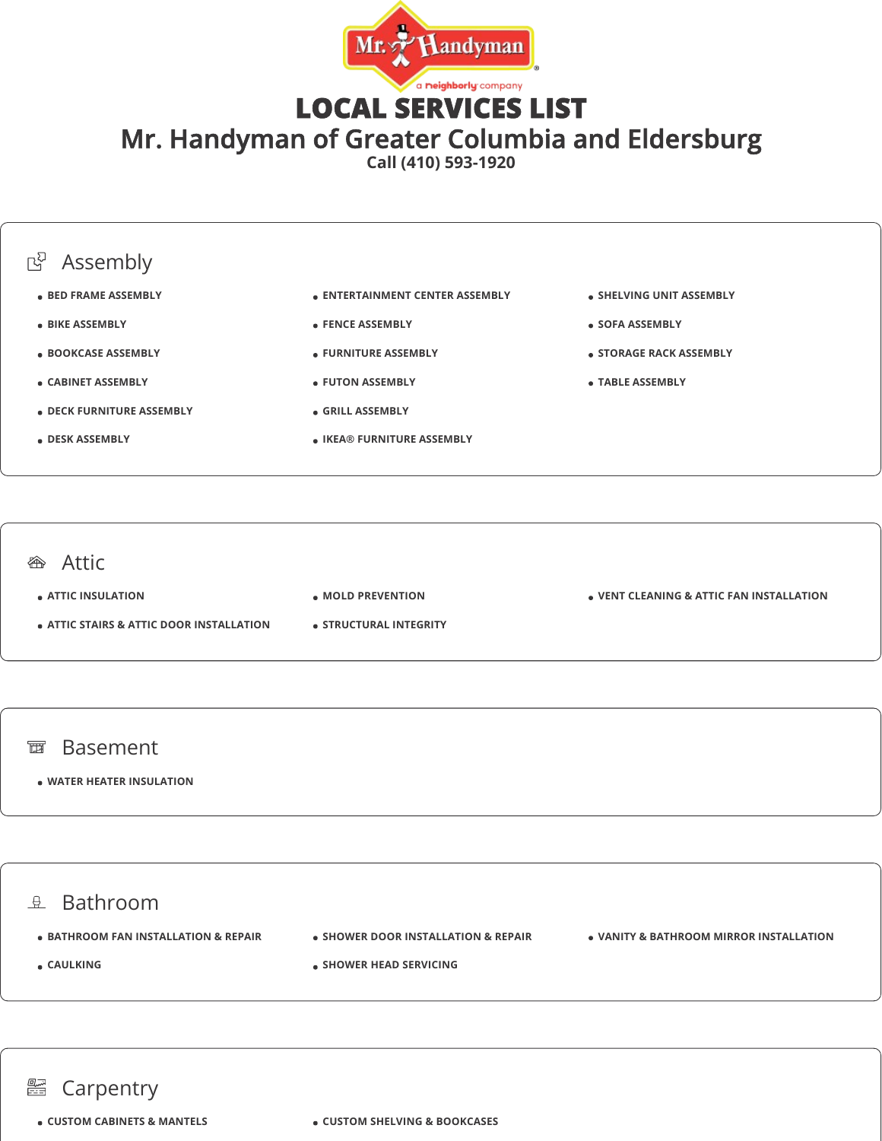

LOCAL SERVICES LIST

Mr. Handyman of Greater Columbia and Eldersburg

**Call (410) 593-1920**



#### **<sup>企</sup>**Attic

**ATTIC INSULATION**

- **ATTIC STAIRS & ATTIC DOOR INSTALLATION**
- **MOLD PREVENTION**
- **STRUCTURAL INTEGRITY**

**VENT CLEANING & ATTIC FAN INSTALLATION**

#### 面 Basement

**WATER HEATER INSULATION**

 $\mathbb{R}$  Bathroom  $\bullet$  **BATHROOM FAN INSTALLATION & REPAIR CAULKING • SHOWER DOOR INSTALLATION & REPAIR SHOWER HEAD SERVICING VANITY & BATHROOM MIRROR INSTALLATION**

#### an<br>Eis Carpentry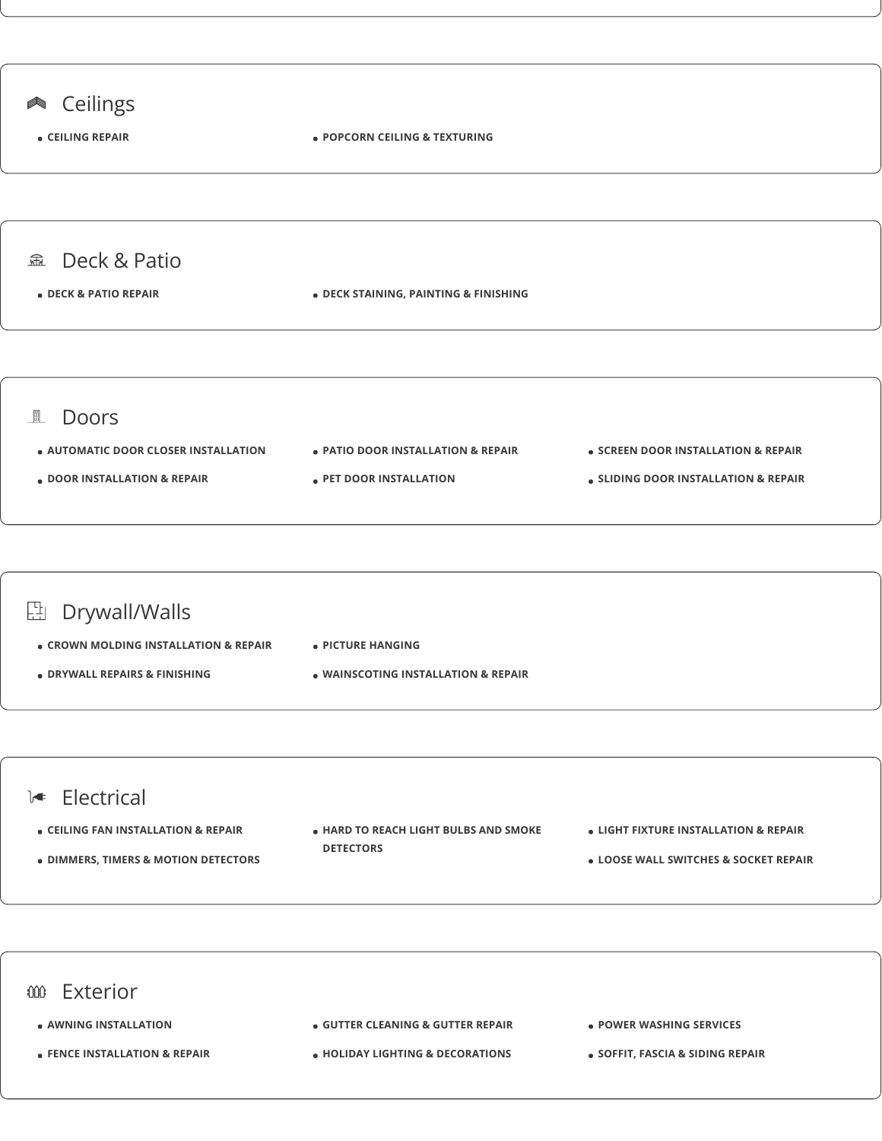

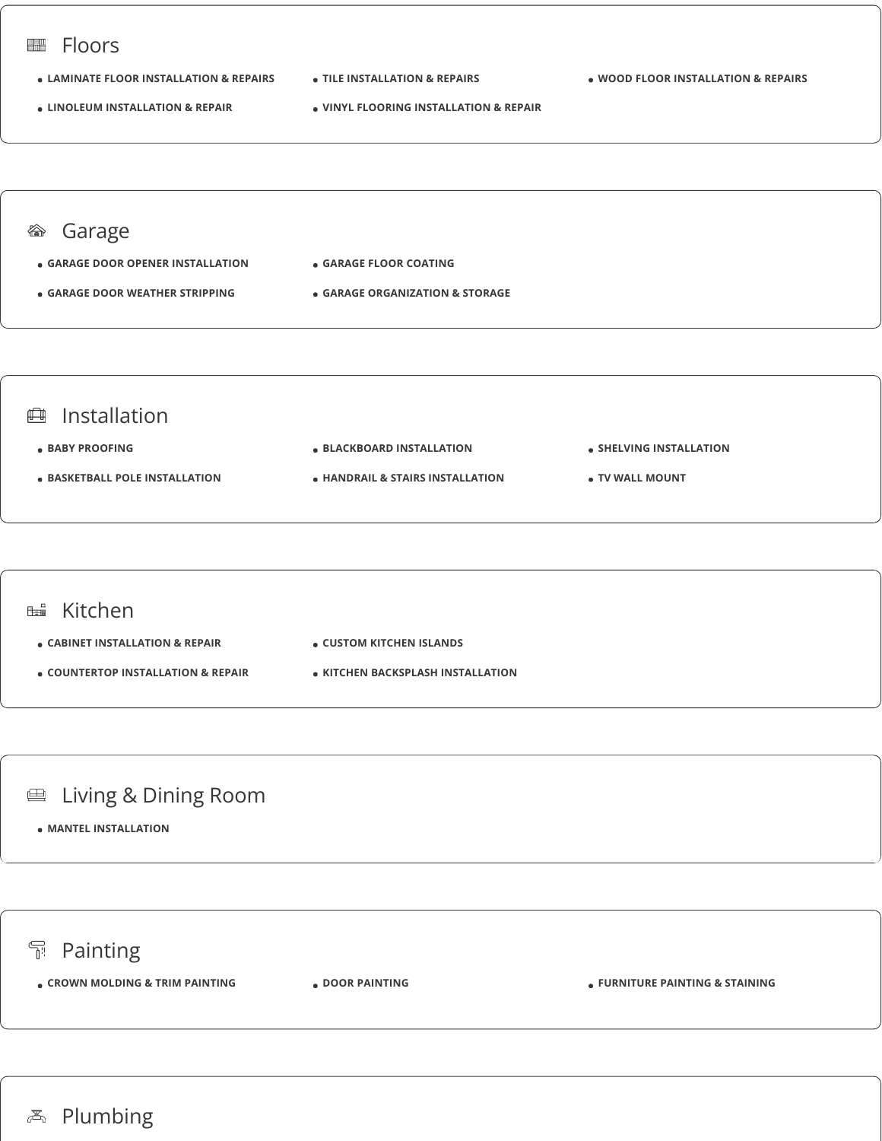

- **BABY PROOFING**
- **BASKETBALL POLE INSTALLATION**
- **BLACKBOARD INSTALLATION**
- **HANDRAIL & STAIRS INSTALLATION**
- **SHELVING INSTALLATION**
- **TV WALL MOUNT**



## **■ Living & Dining Room**

**MANTEL INSTALLATION**

## **Painting**

**CROWN MOLDING & TRIM PAINTING DOOR PAINTING FURNITURE PAINTING & STAINING**